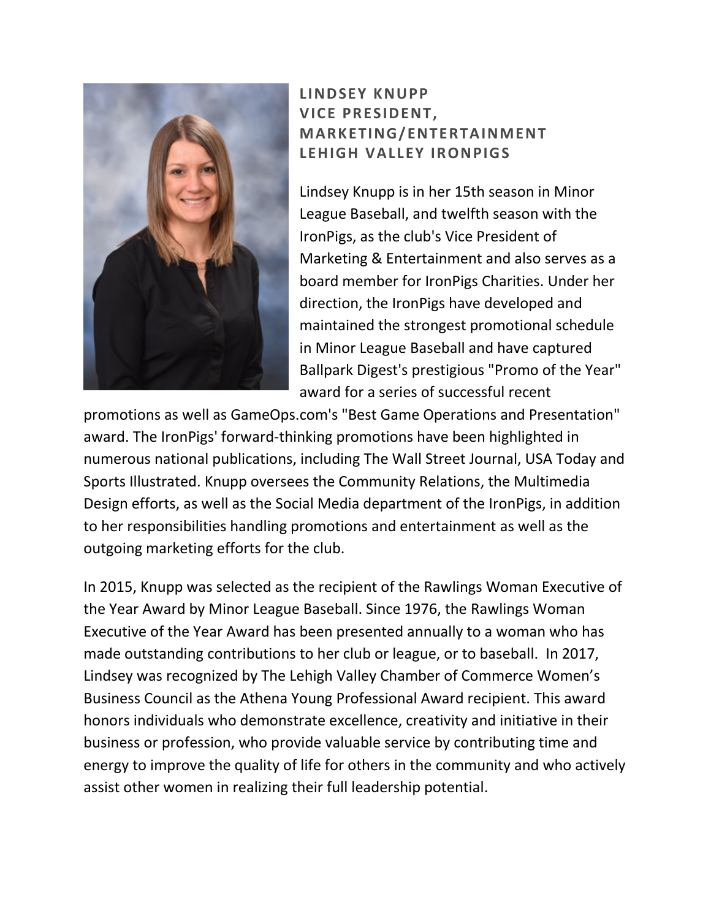

## **LINDSEY KNUPP VICE PRESIDENT, MARKETING/ENTERTAINMENT LEHIGH VALLEY IRONPIGS**

Lindsey Knupp is in her 15th season in Minor League Baseball, and twelfth season with the IronPigs, as the club's Vice President of Marketing & Entertainment and also serves as a board member for IronPigs Charities. Under her direction, the IronPigs have developed and maintained the strongest promotional schedule in Minor League Baseball and have captured Ballpark Digest's prestigious "Promo of the Year" award for a series of successful recent

promotions as well as GameOps.com's "Best Game Operations and Presentation" award. The IronPigs' forward-thinking promotions have been highlighted in numerous national publications, including The Wall Street Journal, USA Today and Sports Illustrated. Knupp oversees the Community Relations, the Multimedia Design efforts, as well as the Social Media department of the IronPigs, in addition to her responsibilities handling promotions and entertainment as well as the outgoing marketing efforts for the club.

In 2015, Knupp was selected as the recipient of the Rawlings Woman Executive of the Year Award by Minor League Baseball. Since 1976, the Rawlings Woman Executive of the Year Award has been presented annually to a woman who has made outstanding contributions to her club or league, or to baseball. In 2017, Lindsey was recognized by The Lehigh Valley Chamber of Commerce Women's Business Council as the Athena Young Professional Award recipient. This award honors individuals who demonstrate excellence, creativity and initiative in their business or profession, who provide valuable service by contributing time and energy to improve the quality of life for others in the community and who actively assist other women in realizing their full leadership potential.